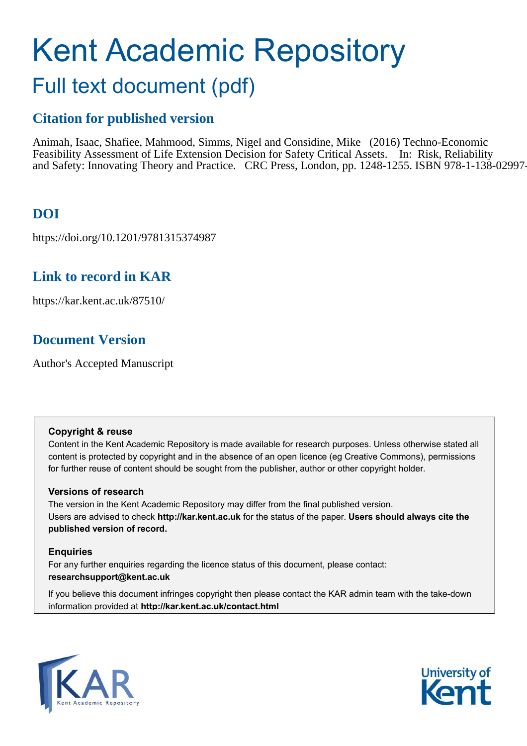# Kent Academic Repository Full text document (pdf)

# **Citation for published version**

Animah, Isaac, Shafiee, Mahmood, Simms, Nigel and Considine, Mike (2016) Techno-Economic Feasibility Assessment of Life Extension Decision for Safety Critical Assets. In: Risk, Reliability and Safety: Innovating Theory and Practice. CRC Press, London, pp. 1248-1255. ISBN 978-1-138-02997-

# **DOI**

https://doi.org/10.1201/9781315374987

# **Link to record in KAR**

https://kar.kent.ac.uk/87510/

# **Document Version**

Author's Accepted Manuscript

# **Copyright & reuse**

Content in the Kent Academic Repository is made available for research purposes. Unless otherwise stated all content is protected by copyright and in the absence of an open licence (eg Creative Commons), permissions for further reuse of content should be sought from the publisher, author or other copyright holder.

# **Versions of research**

The version in the Kent Academic Repository may differ from the final published version. Users are advised to check **http://kar.kent.ac.uk** for the status of the paper. **Users should always cite the published version of record.**

# **Enquiries**

For any further enquiries regarding the licence status of this document, please contact: **researchsupport@kent.ac.uk**

If you believe this document infringes copyright then please contact the KAR admin team with the take-down information provided at **http://kar.kent.ac.uk/contact.html**



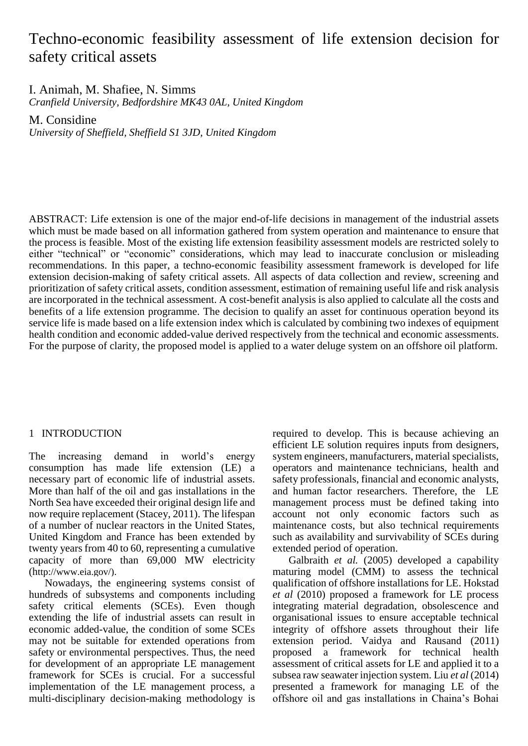# Techno-economic feasibility assessment of life extension decision for safety critical assets

I. Animah, M. Shafiee, N. Simms

*Cranfield University, Bedfordshire MK43 0AL, United Kingdom*

M. Considine

*University of Sheffield, Sheffield S1 3JD, United Kingdom*

ABSTRACT: Life extension is one of the major end-of-life decisions in management of the industrial assets which must be made based on all information gathered from system operation and maintenance to ensure that the process is feasible. Most of the existing life extension feasibility assessment models are restricted solely to either "technical" or "economic" considerations, which may lead to inaccurate conclusion or misleading recommendations. In this paper, a techno-economic feasibility assessment framework is developed for life extension decision-making of safety critical assets. All aspects of data collection and review, screening and prioritization of safety critical assets, condition assessment, estimation of remaining useful life and risk analysis are incorporated in the technical assessment. A cost-benefit analysis is also applied to calculate all the costs and benefits of a life extension programme. The decision to qualify an asset for continuous operation beyond its service life is made based on a life extension index which is calculated by combining two indexes of equipment health condition and economic added-value derived respectively from the technical and economic assessments. For the purpose of clarity, the proposed model is applied to a water deluge system on an offshore oil platform.

# 1 INTRODUCTION

The increasing demand in world's energy consumption has made life extension  $(LE)$  a necessary part of economic life of industrial assets. More than half of the oil and gas installations in the North Sea have exceeded their original design life and now require replacement (Stacey, 2011). The lifespan of a number of nuclear reactors in the United States, United Kingdom and France has been extended by twenty years from 40 to 60, representing a cumulative capacity of more than 69,000 MW electricity (http://www.eia.gov/).

Nowadays, the engineering systems consist of hundreds of subsystems and components including safety critical elements (SCEs). Even though extending the life of industrial assets can result in economic added-value, the condition of some SCEs may not be suitable for extended operations from safety or environmental perspectives. Thus, the need for development of an appropriate LE management framework for SCEs is crucial. For a successful implementation of the LE management process, a multi-disciplinary decision-making methodology is required to develop. This is because achieving an efficient LE solution requires inputs from designers, system engineers, manufacturers, material specialists, operators and maintenance technicians, health and safety professionals, financial and economic analysts, and human factor researchers. Therefore, the LE management process must be defined taking into account not only economic factors such as maintenance costs, but also technical requirements such as availability and survivability of SCEs during extended period of operation.

Galbraith *et al.* (2005) developed a capability maturing model (CMM) to assess the technical qualification of offshore installations for LE. Hokstad *et al* (2010) proposed a framework for LE process integrating material degradation, obsolescence and organisational issues to ensure acceptable technical integrity of offshore assets throughout their life extension period. Vaidya and Rausand (2011) proposed a framework for technical health assessment of critical assets for LE and applied it to a subsea raw seawater injection system. Liu *et al* (2014) presented a framework for managing LE of the offshore oil and gas installations in Chaina's Bohai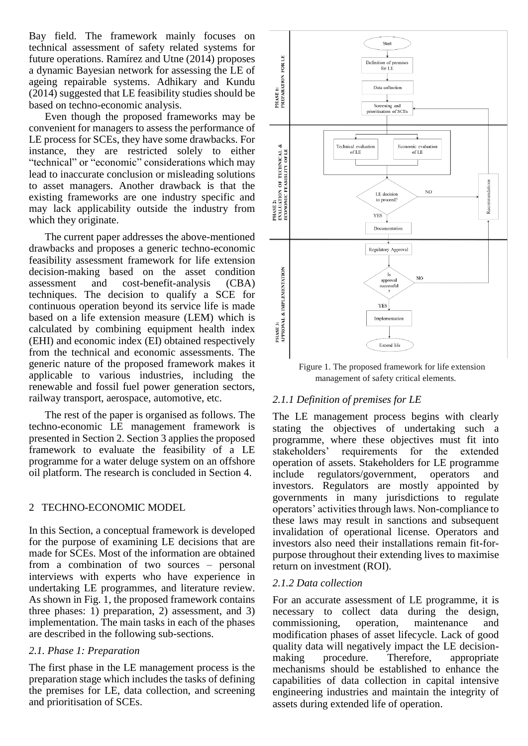Bay field. The framework mainly focuses on technical assessment of safety related systems for future operations. Ramírez and Utne (2014) proposes a dynamic Bayesian network for assessing the LE of ageing repairable systems. Adhikary and Kundu (2014) suggested that LE feasibility studies should be based on techno-economic analysis.

Even though the proposed frameworks may be convenient for managers to assess the performance of LE process for SCEs, they have some drawbacks. For instance, they are restricted solely to either "technical" or "economic" considerations which may lead to inaccurate conclusion or misleading solutions to asset managers. Another drawback is that the existing frameworks are one industry specific and may lack applicability outside the industry from which they originate.

The current paper addresses the above-mentioned drawbacks and proposes a generic techno-economic feasibility assessment framework for life extension decision-making based on the asset condition assessment and cost-benefit-analysis (CBA) techniques. The decision to qualify a SCE for continuous operation beyond its service life is made based on a life extension measure (LEM) which is calculated by combining equipment health index (EHI) and economic index (EI) obtained respectively from the technical and economic assessments. The generic nature of the proposed framework makes it applicable to various industries, including the renewable and fossil fuel power generation sectors, railway transport, aerospace, automotive, etc.

The rest of the paper is organised as follows. The techno-economic LE management framework is presented in Section 2. Section 3 applies the proposed framework to evaluate the feasibility of a LE programme for a water deluge system on an offshore oil platform. The research is concluded in Section 4.

# 2 TECHNO-ECONOMIC MODEL

In this Section, a conceptual framework is developed for the purpose of examining LE decisions that are made for SCEs. Most of the information are obtained from a combination of two sources – personal interviews with experts who have experience in undertaking LE programmes, and literature review. As shown in Fig. 1, the proposed framework contains three phases: 1) preparation, 2) assessment, and 3) implementation. The main tasks in each of the phases are described in the following sub-sections.

#### *2.1. Phase 1: Preparation*

The first phase in the LE management process is the preparation stage which includes the tasks of defining the premises for LE, data collection, and screening and prioritisation of SCEs.



Figure 1. The proposed framework for life extension management of safety critical elements.

# *2.1.1 Definition of premises for LE*

The LE management process begins with clearly stating the objectives of undertaking such a programme, where these objectives must fit into stakeholders' requirements for the extended operation of assets. Stakeholders for LE programme include regulators/government, operators and investors. Regulators are mostly appointed by governments in many jurisdictions to regulate operators' activities through laws. Non-compliance to these laws may result in sanctions and subsequent invalidation of operational license. Operators and investors also need their installations remain fit-forpurpose throughout their extending lives to maximise return on investment (ROI).

#### *2.1.2 Data collection*

For an accurate assessment of LE programme, it is necessary to collect data during the design, commissioning, operation, maintenance and modification phases of asset lifecycle. Lack of good quality data will negatively impact the LE decisionmaking procedure. Therefore, appropriate mechanisms should be established to enhance the capabilities of data collection in capital intensive engineering industries and maintain the integrity of assets during extended life of operation.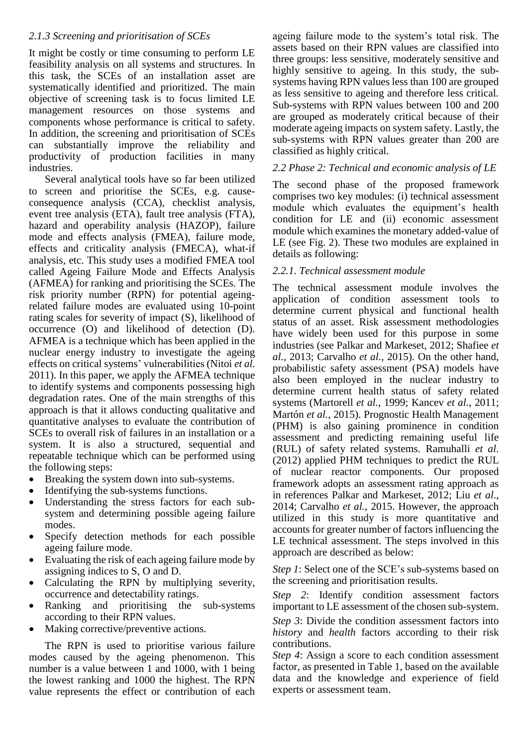# *2.1.3 Screening and prioritisation of SCEs*

It might be costly or time consuming to perform LE feasibility analysis on all systems and structures. In this task, the SCEs of an installation asset are systematically identified and prioritized. The main objective of screening task is to focus limited LE management resources on those systems and components whose performance is critical to safety. In addition, the screening and prioritisation of SCEs can substantially improve the reliability and productivity of production facilities in many industries.

Several analytical tools have so far been utilized to screen and prioritise the SCEs, e.g. causeconsequence analysis (CCA), checklist analysis, event tree analysis (ETA), fault tree analysis (FTA), hazard and operability analysis (HAZOP), failure mode and effects analysis (FMEA), failure mode, effects and criticality analysis (FMECA), what-if analysis, etc. This study uses a modified FMEA tool called Ageing Failure Mode and Effects Analysis (AFMEA) for ranking and prioritising the SCEs. The risk priority number (RPN) for potential ageingrelated failure modes are evaluated using 10-point rating scales for severity of impact (S), likelihood of occurrence (O) and likelihood of detection (D). AFMEA is a technique which has been applied in the nuclear energy industry to investigate the ageing effects on critical systems' vulnerabilities (Nitoi *et al.* 2011). In this paper, we apply the AFMEA technique to identify systems and components possessing high degradation rates. One of the main strengths of this approach is that it allows conducting qualitative and quantitative analyses to evaluate the contribution of SCEs to overall risk of failures in an installation or a system. It is also a structured, sequential and repeatable technique which can be performed using the following steps:

- Breaking the system down into sub-systems.
- Identifying the sub-systems functions.
- Understanding the stress factors for each subsystem and determining possible ageing failure modes.
- Specify detection methods for each possible ageing failure mode.
- Evaluating the risk of each ageing failure mode by assigning indices to S, O and D.
- Calculating the RPN by multiplying severity, occurrence and detectability ratings.
- Ranking and prioritising the sub-systems according to their RPN values.
- Making corrective/preventive actions.

The RPN is used to prioritise various failure modes caused by the ageing phenomenon. This number is a value between 1 and 1000, with 1 being the lowest ranking and 1000 the highest. The RPN value represents the effect or contribution of each

ageing failure mode to the system's total risk. The assets based on their RPN values are classified into three groups: less sensitive, moderately sensitive and highly sensitive to ageing. In this study, the subsystems having RPN values less than 100 are grouped as less sensitive to ageing and therefore less critical. Sub-systems with RPN values between 100 and 200 are grouped as moderately critical because of their moderate ageing impacts on system safety. Lastly, the sub-systems with RPN values greater than 200 are classified as highly critical.

## *2.2 Phase 2: Technical and economic analysis of LE*

The second phase of the proposed framework comprises two key modules: (i) technical assessment module which evaluates the equipment's health condition for LE and (ii) economic assessment module which examines the monetary added-value of LE (see Fig. 2). These two modules are explained in details as following:

## *2.2.1. Technical assessment module*

The technical assessment module involves the application of condition assessment tools to determine current physical and functional health status of an asset. Risk assessment methodologies have widely been used for this purpose in some industries (see Palkar and Markeset, 2012; Shafiee *et al.*, 2013; Carvalho *et al.*, 2015). On the other hand, probabilistic safety assessment (PSA) models have also been employed in the nuclear industry to determine current health status of safety related systems (Martorell *et al.*, 1999; Kancev *et al.*, 2011; Martón *et al.*, 2015). Prognostic Health Management (PHM) is also gaining prominence in condition assessment and predicting remaining useful life (RUL) of safety related systems. Ramuhalli *et al*. (2012) applied PHM techniques to predict the RUL of nuclear reactor components. Our proposed framework adopts an assessment rating approach as in references Palkar and Markeset, 2012; Liu *et al*., 2014; Carvalho *et al.*, 2015. However, the approach utilized in this study is more quantitative and accounts for greater number of factors influencing the LE technical assessment. The steps involved in this approach are described as below:

*Step 1*: Select one of the SCE's sub-systems based on the screening and prioritisation results.

*Step 2*: Identify condition assessment factors important to LE assessment of the chosen sub-system.

*Step* 3: Divide the condition assessment factors into *history* and *health* factors according to their risk contributions.

*Step 4*: Assign a score to each condition assessment factor, as presented in Table 1, based on the available data and the knowledge and experience of field experts or assessment team.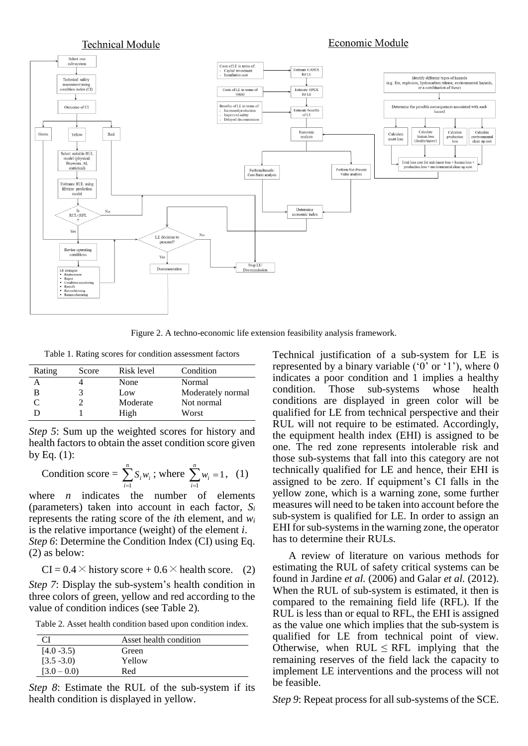

Figure 2. A techno-economic life extension feasibility analysis framework.

Table 1. Rating scores for condition assessment factors

| Rating | Score | Risk level | Condition         |
|--------|-------|------------|-------------------|
|        |       | None       | Normal            |
| В      |       | Low        | Moderately normal |
|        |       | Moderate   | Not normal        |
|        |       | High       | Worst             |

*Step 5*: Sum up the weighted scores for history and health factors to obtain the asset condition score given by Eq.  $(1)$ :

Condition score = 
$$
\sum_{i=1}^{n} S_i w_i
$$
; where  $\sum_{i=1}^{n} w_i = 1$ , (1)

where *n* indicates the number of elements (parameters) taken into account in each factor, *S<sup>i</sup>* represents the rating score of the *i*th element, and *w<sup>i</sup>* is the relative importance (weight) of the element *i*. *Step 6*: Determine the Condition Index (CI) using Eq. (2) as below:

$$
CI = 0.4 \times \text{history score} + 0.6 \times \text{health score.}
$$
 (2)

*Step 7*: Display the sub-system's health condition in three colors of green, yellow and red according to the value of condition indices (see Table 2)*.*

Table 2. Asset health condition based upon condition index.

|               | Asset health condition |
|---------------|------------------------|
| $[4.0 - 3.5]$ | Green                  |
| $[3.5 - 3.0]$ | Yellow                 |
| $[3.0 - 0.0]$ | Red                    |

*Step 8*: Estimate the RUL of the sub-system if its health condition is displayed in yellow.

Technical justification of a sub-system for LE is represented by a binary variable ( $0$ ' or  $1$ '), where 0 indicates a poor condition and 1 implies a healthy condition. Those sub-systems whose health conditions are displayed in green color will be qualified for LE from technical perspective and their RUL will not require to be estimated. Accordingly, the equipment health index (EHI) is assigned to be one. The red zone represents intolerable risk and those sub-systems that fall into this category are not technically qualified for LE and hence, their EHI is assigned to be zero. If equipment's CI falls in the yellow zone, which is a warning zone, some further measures will need to be taken into account before the sub-system is qualified for LE. In order to assign an EHI for sub-systems in the warning zone, the operator has to determine their RULs.

A review of literature on various methods for estimating the RUL of safety critical systems can be found in Jardine *et al.* (2006) and Galar *et al.* (2012). When the RUL of sub-system is estimated, it then is compared to the remaining field life (RFL). If the RUL is less than or equal to RFL, the EHI is assigned as the value one which implies that the sub-system is qualified for LE from technical point of view. Otherwise, when  $RUL \leq RFL$  implying that the remaining reserves of the field lack the capacity to implement LE interventions and the process will not be feasible.

*Step 9*: Repeat process for all sub-systems of the SCE.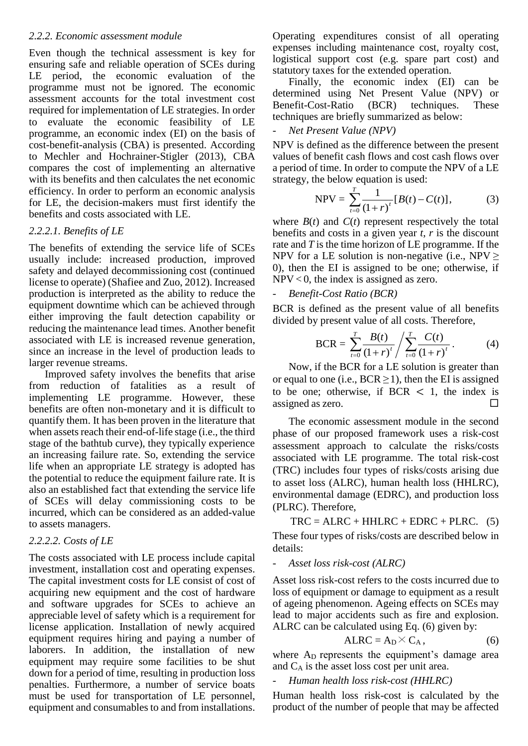#### *2.2.2. Economic assessment module*

Even though the technical assessment is key for ensuring safe and reliable operation of SCEs during LE period, the economic evaluation of the programme must not be ignored. The economic assessment accounts for the total investment cost required for implementation of LE strategies. In order to evaluate the economic feasibility of LE programme, an economic index (EI) on the basis of cost-benefit-analysis (CBA) is presented. According to Mechler and Hochrainer-Stigler (2013), CBA compares the cost of implementing an alternative with its benefits and then calculates the net economic efficiency. In order to perform an economic analysis for LE, the decision-makers must first identify the benefits and costs associated with LE.

## *2.2.2.1. Benefits of LE*

The benefits of extending the service life of SCEs usually include: increased production, improved safety and delayed decommissioning cost (continued license to operate) (Shafiee and Zuo, 2012). Increased production is interpreted as the ability to reduce the equipment downtime which can be achieved through either improving the fault detection capability or reducing the maintenance lead times. Another benefit associated with LE is increased revenue generation, since an increase in the level of production leads to larger revenue streams.

Improved safety involves the benefits that arise from reduction of fatalities as a result of implementing LE programme. However, these benefits are often non-monetary and it is difficult to quantify them. It has been proven in the literature that when assets reach their end-of-life stage (i.e., the third stage of the bathtub curve), they typically experience an increasing failure rate. So, extending the service life when an appropriate LE strategy is adopted has the potential to reduce the equipment failure rate. It is also an established fact that extending the service life of SCEs will delay commissioning costs to be incurred, which can be considered as an added-value to assets managers.

# *2.2.2.2. Costs of LE*

The costs associated with LE process include capital investment, installation cost and operating expenses. The capital investment costs for LE consist of cost of acquiring new equipment and the cost of hardware and software upgrades for SCEs to achieve an appreciable level of safety which is a requirement for license application. Installation of newly acquired equipment requires hiring and paying a number of laborers. In addition, the installation of new equipment may require some facilities to be shut down for a period of time, resulting in production loss penalties. Furthermore, a number of service boats must be used for transportation of LE personnel, equipment and consumables to and from installations.

Operating expenditures consist of all operating expenses including maintenance cost, royalty cost, logistical support cost (e.g. spare part cost) and statutory taxes for the extended operation.

Finally, the economic index (EI) can be determined using Net Present Value (NPV) or<br>Benefit-Cost-Ratio (BCR) techniques. These Benefit-Cost-Ratio (BCR) techniques. These techniques are briefly summarized as below:

#### - *Net Present Value (NPV)*

NPV is defined as the difference between the present values of benefit cash flows and cost cash flows over a period of time. In order to compute the NPV of a LE strategy, the below equation is used:

NPV = 
$$
\sum_{t=0}^{T} \frac{1}{(1+r)^{t}} [B(t) - C(t)],
$$
 (3)

where  $B(t)$  and  $C(t)$  represent respectively the total benefits and costs in a given year *t*, *r* is the discount rate and *T* is the time horizon of LE programme. If the NPV for a LE solution is non-negative (i.e., NPV  $\geq$ 0), then the EI is assigned to be one; otherwise, if  $NPV < 0$ , the index is assigned as zero.

## - *Benefit-Cost Ratio (BCR)*

BCR is defined as the present value of all benefits divided by present value of all costs. Therefore,

$$
BCR = \sum_{t=0}^{T} \frac{B(t)}{(1+r)^t} / \sum_{t=0}^{T} \frac{C(t)}{(1+r)^t} . \tag{4}
$$

Now, if the BCR for a LE solution is greater than or equal to one (i.e.,  $BCR \ge 1$ ), then the EI is assigned to be one; otherwise, if  $BCR < 1$ , the index is assigned as zero.  $\Box$ 

The economic assessment module in the second phase of our proposed framework uses a risk-cost assessment approach to calculate the risks/costs associated with LE programme. The total risk-cost (TRC) includes four types of risks/costs arising due to asset loss (ALRC), human health loss (HHLRC), environmental damage (EDRC), and production loss (PLRC). Therefore,

 $TRC = ALRC + HHLRC + EDRC + PLRC.$  (5) These four types of risks/costs are described below in details:

#### - *Asset loss risk-cost (ALRC)*

Asset loss risk-cost refers to the costs incurred due to loss of equipment or damage to equipment as a result of ageing phenomenon. Ageing effects on SCEs may lead to major accidents such as fire and explosion. ALRC can be calculated using Eq. (6) given by:

$$
ALRC = A_D \times C_A, \qquad (6)
$$

where A<sub>D</sub> represents the equipment's damage area and C<sup>A</sup> is the asset loss cost per unit area.

#### - *Human health loss risk-cost (HHLRC)*

Human health loss risk-cost is calculated by the product of the number of people that may be affected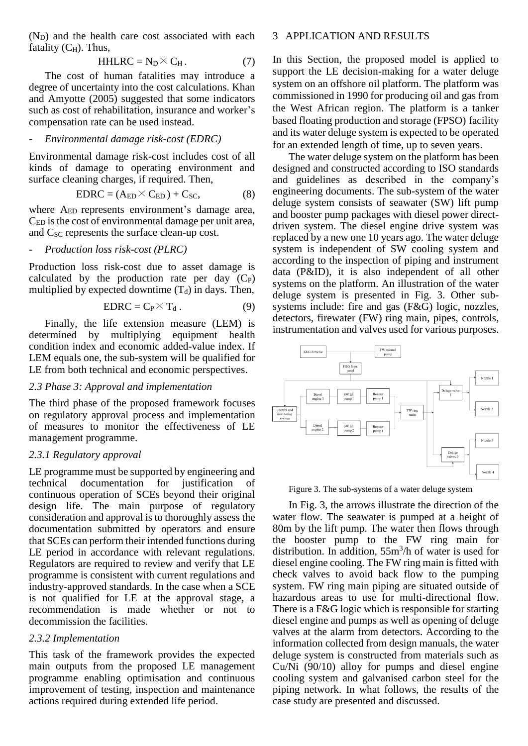$(N_D)$  and the health care cost associated with each fatality  $(C_H)$ . Thus,

$$
HHLRC = N_D \times C_H. \tag{7}
$$

The cost of human fatalities may introduce a degree of uncertainty into the cost calculations. Khan and Amyotte (2005) suggested that some indicators such as cost of rehabilitation, insurance and worker's compensation rate can be used instead.

#### - *Environmental damage risk-cost (EDRC)*

Environmental damage risk-cost includes cost of all kinds of damage to operating environment and surface cleaning charges, if required. Then,

$$
EDRC = (A_{ED} \times C_{ED}) + C_{SC}, \tag{8}
$$

where A<sub>ED</sub> represents environment's damage area, CED isthe cost of environmental damage per unit area, and  $C_{SC}$  represents the surface clean-up cost.

## - *Production loss risk-cost (PLRC)*

Production loss risk-cost due to asset damage is calculated by the production rate per day  $(C_P)$ multiplied by expected downtime  $(T_d)$  in days. Then,

$$
EDRC = C_P \times T_d. \tag{9}
$$

Finally, the life extension measure (LEM) is determined by multiplying equipment health condition index and economic added-value index. If LEM equals one, the sub-system will be qualified for LE from both technical and economic perspectives.

#### *2.3 Phase 3: Approval and implementation*

The third phase of the proposed framework focuses on regulatory approval process and implementation of measures to monitor the effectiveness of LE management programme.

#### *2.3.1 Regulatory approval*

LE programme must be supported by engineering and technical documentation for justification of continuous operation of SCEs beyond their original design life. The main purpose of regulatory consideration and approval is to thoroughly assess the documentation submitted by operators and ensure that SCEs can perform their intended functions during LE period in accordance with relevant regulations. Regulators are required to review and verify that LE programme is consistent with current regulations and industry-approved standards. In the case when a SCE is not qualified for LE at the approval stage, a recommendation is made whether or not to decommission the facilities.

#### *2.3.2 Implementation*

This task of the framework provides the expected main outputs from the proposed LE management programme enabling optimisation and continuous improvement of testing, inspection and maintenance actions required during extended life period.

#### 3 APPLICATION AND RESULTS

In this Section, the proposed model is applied to support the LE decision-making for a water deluge system on an offshore oil platform. The platform was commissioned in 1990 for producing oil and gas from the West African region. The platform is a tanker based floating production and storage (FPSO) facility and its water deluge system is expected to be operated for an extended length of time, up to seven years.

The water deluge system on the platform has been designed and constructed according to ISO standards and guidelines as described in the company's engineering documents. The sub-system of the water deluge system consists of seawater (SW) lift pump and booster pump packages with diesel power directdriven system. The diesel engine drive system was replaced by a new one 10 years ago. The water deluge system is independent of SW cooling system and according to the inspection of piping and instrument data (P&ID), it is also independent of all other systems on the platform. An illustration of the water deluge system is presented in Fig. 3. Other subsystems include: fire and gas (F&G) logic, nozzles, detectors, firewater (FW) ring main, pipes, controls, instrumentation and valves used for various purposes.



Figure 3. The sub-systems of a water deluge system

In Fig. 3, the arrows illustrate the direction of the water flow. The seawater is pumped at a height of 80m by the lift pump. The water then flows through the booster pump to the FW ring main for distribution. In addition, 55m<sup>3</sup> /h of water is used for diesel engine cooling. The FW ring main is fitted with check valves to avoid back flow to the pumping system. FW ring main piping are situated outside of hazardous areas to use for multi-directional flow. There is a F&G logic which is responsible for starting diesel engine and pumps as well as opening of deluge valves at the alarm from detectors. According to the information collected from design manuals, the water deluge system is constructed from materials such as Cu/Ni (90/10) alloy for pumps and diesel engine cooling system and galvanised carbon steel for the piping network. In what follows, the results of the case study are presented and discussed.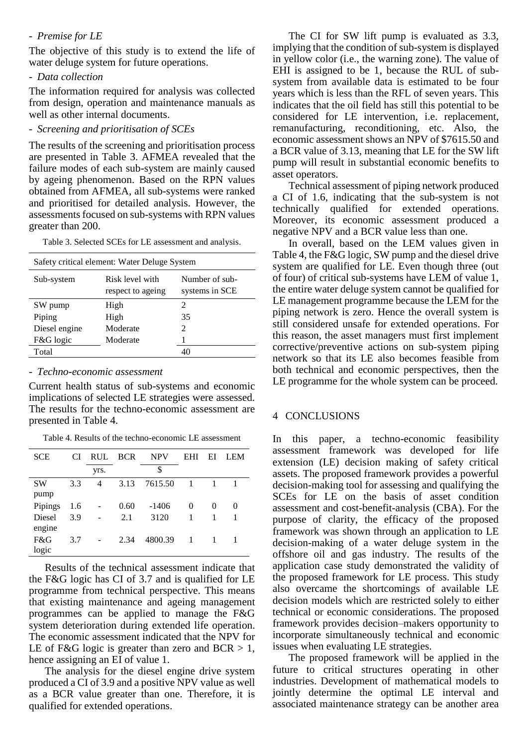#### - *Premise for LE*

The objective of this study is to extend the life of water deluge system for future operations.

- *Data collection*

The information required for analysis was collected from design, operation and maintenance manuals as well as other internal documents.

- *Screening and prioritisation of SCEs*

The results of the screening and prioritisation process are presented in Table 3. AFMEA revealed that the failure modes of each sub-system are mainly caused by ageing phenomenon. Based on the RPN values obtained from AFMEA, all sub-systems were ranked and prioritised for detailed analysis. However, the assessments focused on sub-systems with RPN values greater than 200.

Table 3. Selected SCEs for LE assessment and analysis.

| Safety critical element: Water Deluge System |                                      |                                  |  |  |  |  |  |  |
|----------------------------------------------|--------------------------------------|----------------------------------|--|--|--|--|--|--|
| Sub-system                                   | Risk level with<br>respect to ageing | Number of sub-<br>systems in SCE |  |  |  |  |  |  |
| SW pump                                      | High                                 | 2                                |  |  |  |  |  |  |
| Piping                                       | High                                 | 35                               |  |  |  |  |  |  |
| Diesel engine                                | Moderate                             | $\mathcal{D}_{\mathcal{L}}$      |  |  |  |  |  |  |
| F&G logic                                    | Moderate                             |                                  |  |  |  |  |  |  |
| Total                                        |                                      | 40                               |  |  |  |  |  |  |

#### - *Techno-economic assessment*

Current health status of sub-systems and economic implications of selected LE strategies were assessed. The results for the techno-economic assessment are presented in Table 4.

Table 4. Results of the techno-economic LE assessment

| <b>SCE</b> | <b>CI</b> | <b>RUL</b> | <b>BCR</b> | <b>NPV</b> | EHI            | ЕI       | LEM      |
|------------|-----------|------------|------------|------------|----------------|----------|----------|
|            |           | yrs.       |            | \$         |                |          |          |
| <b>SW</b>  | 3.3       | 4          | 3.13       | 7615.50    | $\overline{1}$ |          |          |
| pump       |           |            |            |            |                |          |          |
| Pipings    | 1.6       |            | 0.60       | $-1406$    | $\Omega$       | $\theta$ | $\theta$ |
| Diesel     | 3.9       |            | 2.1        | 3120       | 1              | 1        |          |
| engine     |           |            |            |            |                |          |          |
| F&G        | 3.7       |            | 2.34       | 4800.39    | -1             |          |          |
| logic      |           |            |            |            |                |          |          |

Results of the technical assessment indicate that the F&G logic has CI of 3.7 and is qualified for LE programme from technical perspective. This means that existing maintenance and ageing management programmes can be applied to manage the F&G system deterioration during extended life operation. The economic assessment indicated that the NPV for LE of F&G logic is greater than zero and  $BCR > 1$ , hence assigning an EI of value 1.

The analysis for the diesel engine drive system produced a CI of 3.9 and a positive NPV value as well as a BCR value greater than one. Therefore, it is qualified for extended operations.

The CI for SW lift pump is evaluated as 3.3, implying that the condition of sub-system is displayed in yellow color (i.e., the warning zone). The value of EHI is assigned to be 1, because the RUL of subsystem from available data is estimated to be four years which is less than the RFL of seven years. This indicates that the oil field has still this potential to be considered for LE intervention, i.e. replacement, remanufacturing, reconditioning, etc. Also, the economic assessment shows an NPV of \$7615.50 and a BCR value of 3.13, meaning that LE for the SW lift pump will result in substantial economic benefits to asset operators.

Technical assessment of piping network produced a CI of 1.6, indicating that the sub-system is not technically qualified for extended operations. Moreover, its economic assessment produced a negative NPV and a BCR value less than one.

In overall, based on the LEM values given in Table 4, the F&G logic, SW pump and the diesel drive system are qualified for LE. Even though three (out of four) of critical sub-systems have LEM of value 1, the entire water deluge system cannot be qualified for LE management programme because the LEM for the piping network is zero. Hence the overall system is still considered unsafe for extended operations. For this reason, the asset managers must first implement corrective/preventive actions on sub-system piping network so that its LE also becomes feasible from both technical and economic perspectives, then the LE programme for the whole system can be proceed.

## 4 CONCLUSIONS

In this paper, a techno-economic feasibility assessment framework was developed for life extension (LE) decision making of safety critical assets. The proposed framework provides a powerful decision-making tool for assessing and qualifying the SCEs for LE on the basis of asset condition assessment and cost-benefit-analysis (CBA). For the purpose of clarity, the efficacy of the proposed framework was shown through an application to LE decision-making of a water deluge system in the offshore oil and gas industry. The results of the application case study demonstrated the validity of the proposed framework for LE process. This study also overcame the shortcomings of available LE decision models which are restricted solely to either technical or economic considerations. The proposed framework provides decision–makers opportunity to incorporate simultaneously technical and economic issues when evaluating LE strategies.

The proposed framework will be applied in the future to critical structures operating in other industries. Development of mathematical models to jointly determine the optimal LE interval and associated maintenance strategy can be another area